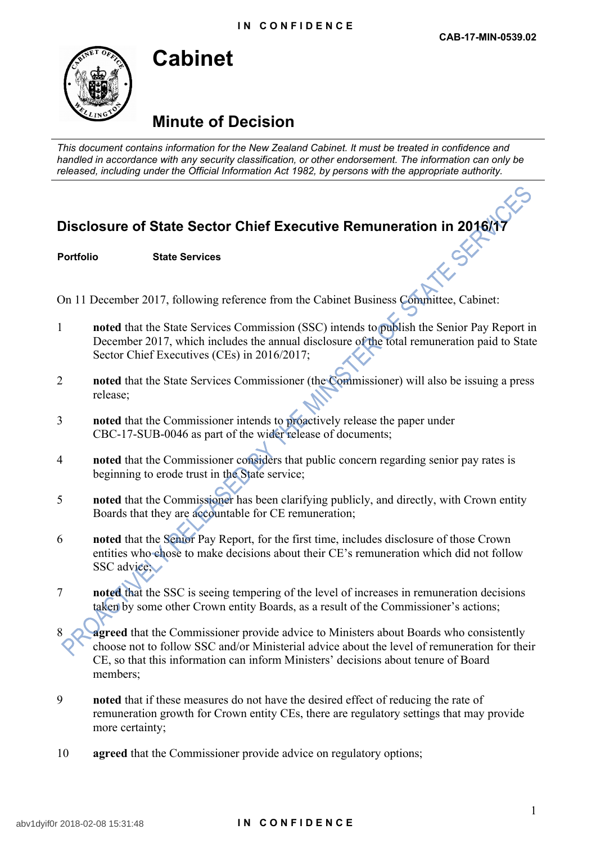

## **Cabinet**

## **Minute of Decision**

*This document contains information for the New Zealand Cabinet. It must be treated in confidence and handled in accordance with any security classification, or other endorsement. The information can only be released, including under the Official Information Act 1982, by persons with the appropriate authority.*

## **Disclosure of State Sector Chief Executive Remuneration in 2016/17**

**Portfolio State Services**

On 11 December 2017, following reference from the Cabinet Business Committee, Cabinet:

- 1 **noted** that the State Services Commission (SSC) intends to publish the Senior Pay Report in December 2017, which includes the annual disclosure of the total remuneration paid to State Sector Chief Executives (CEs) in 2016/2017;
- 2 **noted** that the State Services Commissioner (the Commissioner) will also be issuing a press release;
- 3 **noted** that the Commissioner intends to proactively release the paper under CBC-17-SUB-0046 as part of the wider release of documents;
- 4 **noted** that the Commissioner considers that public concern regarding senior pay rates is beginning to erode trust in the State service;
- 5 **noted** that the Commissioner has been clarifying publicly, and directly, with Crown entity Boards that they are accountable for CE remuneration;
- 6 **noted** that the Senior Pay Report, for the first time, includes disclosure of those Crown entities who chose to make decisions about their CE's remuneration which did not follow SSC advice.
- 7 **noted** that the SSC is seeing tempering of the level of increases in remuneration decisions taken by some other Crown entity Boards, as a result of the Commissioner's actions;
- **agreed** that the Commissioner provide advice to Ministers about Boards who consistently choose not to follow SSC and/or Ministerial advice about the level of remuneration for their CE, so that this information can inform Ministers' decisions about tenure of Board members;
- 9 **noted** that if these measures do not have the desired effect of reducing the rate of remuneration growth for Crown entity CEs, there are regulatory settings that may provide more certainty;
- 10 **agreed** that the Commissioner provide advice on regulatory options;